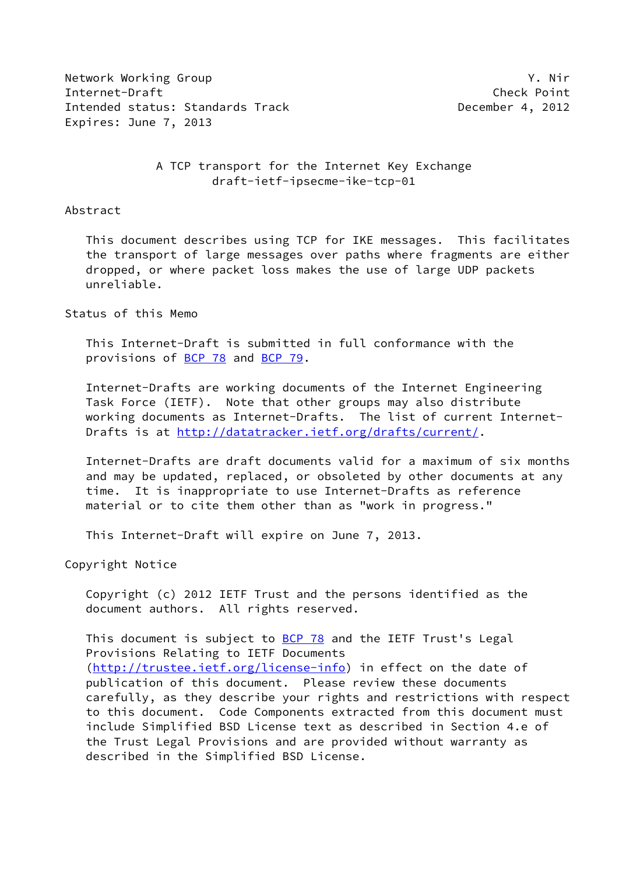Network Working Group Y. Nir Internet-Draft Check Point Intended status: Standards Track December 4, 2012 Expires: June 7, 2013

# A TCP transport for the Internet Key Exchange draft-ietf-ipsecme-ike-tcp-01

#### Abstract

 This document describes using TCP for IKE messages. This facilitates the transport of large messages over paths where fragments are either dropped, or where packet loss makes the use of large UDP packets unreliable.

#### Status of this Memo

 This Internet-Draft is submitted in full conformance with the provisions of [BCP 78](https://datatracker.ietf.org/doc/pdf/bcp78) and [BCP 79](https://datatracker.ietf.org/doc/pdf/bcp79).

 Internet-Drafts are working documents of the Internet Engineering Task Force (IETF). Note that other groups may also distribute working documents as Internet-Drafts. The list of current Internet Drafts is at<http://datatracker.ietf.org/drafts/current/>.

 Internet-Drafts are draft documents valid for a maximum of six months and may be updated, replaced, or obsoleted by other documents at any time. It is inappropriate to use Internet-Drafts as reference material or to cite them other than as "work in progress."

This Internet-Draft will expire on June 7, 2013.

Copyright Notice

 Copyright (c) 2012 IETF Trust and the persons identified as the document authors. All rights reserved.

This document is subject to **[BCP 78](https://datatracker.ietf.org/doc/pdf/bcp78)** and the IETF Trust's Legal Provisions Relating to IETF Documents [\(http://trustee.ietf.org/license-info](http://trustee.ietf.org/license-info)) in effect on the date of publication of this document. Please review these documents carefully, as they describe your rights and restrictions with respect to this document. Code Components extracted from this document must include Simplified BSD License text as described in Section 4.e of the Trust Legal Provisions and are provided without warranty as described in the Simplified BSD License.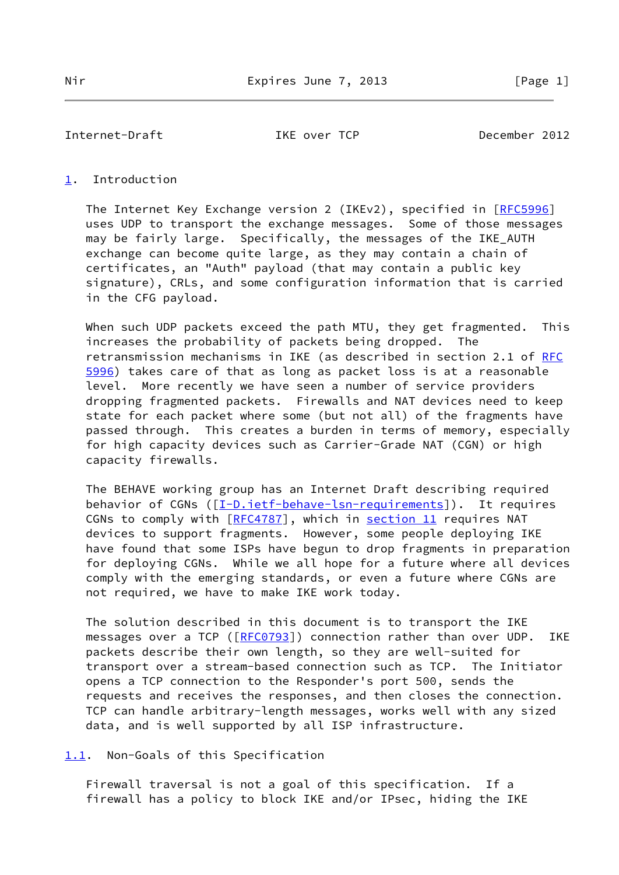Internet-Draft IKE over TCP December 2012

# <span id="page-1-0"></span>[1](#page-1-0). Introduction

The Internet Key Exchange version 2 (IKEv2), specified in [[RFC5996](https://datatracker.ietf.org/doc/pdf/rfc5996)] uses UDP to transport the exchange messages. Some of those messages may be fairly large. Specifically, the messages of the IKE\_AUTH exchange can become quite large, as they may contain a chain of certificates, an "Auth" payload (that may contain a public key signature), CRLs, and some configuration information that is carried in the CFG payload.

When such UDP packets exceed the path MTU, they get fragmented. This increases the probability of packets being dropped. The retransmission mechanisms in IKE (as described in section 2.1 of [RFC](https://datatracker.ietf.org/doc/pdf/rfc5996) [5996](https://datatracker.ietf.org/doc/pdf/rfc5996)) takes care of that as long as packet loss is at a reasonable level. More recently we have seen a number of service providers dropping fragmented packets. Firewalls and NAT devices need to keep state for each packet where some (but not all) of the fragments have passed through. This creates a burden in terms of memory, especially for high capacity devices such as Carrier-Grade NAT (CGN) or high capacity firewalls.

 The BEHAVE working group has an Internet Draft describing required behavior of CGNs ([[I-D.ietf-behave-lsn-requirements\]](#page-8-0)). It requires CGNs to comply with [\[RFC4787](https://datatracker.ietf.org/doc/pdf/rfc4787)], which in section 11 requires NAT devices to support fragments. However, some people deploying IKE have found that some ISPs have begun to drop fragments in preparation for deploying CGNs. While we all hope for a future where all devices comply with the emerging standards, or even a future where CGNs are not required, we have to make IKE work today.

 The solution described in this document is to transport the IKE messages over a TCP ([\[RFC0793](https://datatracker.ietf.org/doc/pdf/rfc0793)]) connection rather than over UDP. IKE packets describe their own length, so they are well-suited for transport over a stream-based connection such as TCP. The Initiator opens a TCP connection to the Responder's port 500, sends the requests and receives the responses, and then closes the connection. TCP can handle arbitrary-length messages, works well with any sized data, and is well supported by all ISP infrastructure.

<span id="page-1-1"></span>[1.1](#page-1-1). Non-Goals of this Specification

 Firewall traversal is not a goal of this specification. If a firewall has a policy to block IKE and/or IPsec, hiding the IKE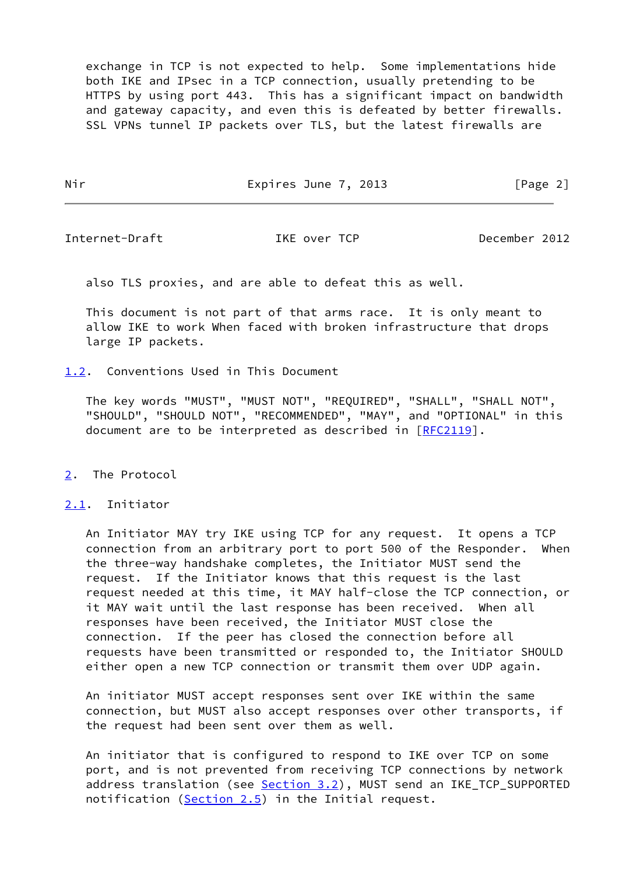exchange in TCP is not expected to help. Some implementations hide both IKE and IPsec in a TCP connection, usually pretending to be HTTPS by using port 443. This has a significant impact on bandwidth and gateway capacity, and even this is defeated by better firewalls. SSL VPNs tunnel IP packets over TLS, but the latest firewalls are

Nir Expires June 7, 2013 [Page 2]

Internet-Draft IKE over TCP December 2012

also TLS proxies, and are able to defeat this as well.

 This document is not part of that arms race. It is only meant to allow IKE to work When faced with broken infrastructure that drops large IP packets.

<span id="page-2-0"></span>[1.2](#page-2-0). Conventions Used in This Document

 The key words "MUST", "MUST NOT", "REQUIRED", "SHALL", "SHALL NOT", "SHOULD", "SHOULD NOT", "RECOMMENDED", "MAY", and "OPTIONAL" in this document are to be interpreted as described in [\[RFC2119](https://datatracker.ietf.org/doc/pdf/rfc2119)].

<span id="page-2-1"></span>[2](#page-2-1). The Protocol

<span id="page-2-2"></span>[2.1](#page-2-2). Initiator

 An Initiator MAY try IKE using TCP for any request. It opens a TCP connection from an arbitrary port to port 500 of the Responder. When the three-way handshake completes, the Initiator MUST send the request. If the Initiator knows that this request is the last request needed at this time, it MAY half-close the TCP connection, or it MAY wait until the last response has been received. When all responses have been received, the Initiator MUST close the connection. If the peer has closed the connection before all requests have been transmitted or responded to, the Initiator SHOULD either open a new TCP connection or transmit them over UDP again.

 An initiator MUST accept responses sent over IKE within the same connection, but MUST also accept responses over other transports, if the request had been sent over them as well.

 An initiator that is configured to respond to IKE over TCP on some port, and is not prevented from receiving TCP connections by network address translation (see [Section 3.2](#page-7-0)), MUST send an IKE\_TCP\_SUPPORTED notification [\(Section 2.5](#page-5-0)) in the Initial request.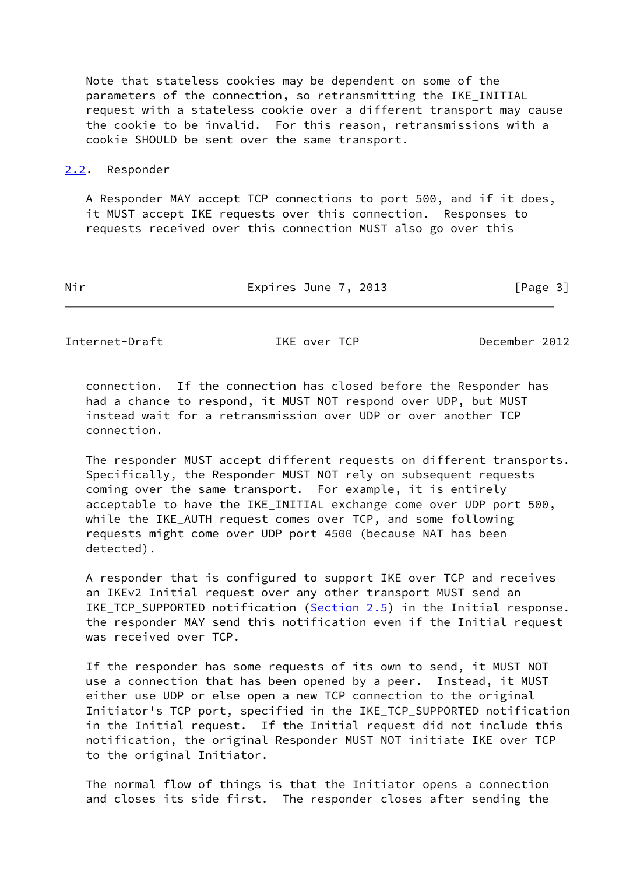Note that stateless cookies may be dependent on some of the parameters of the connection, so retransmitting the IKE\_INITIAL request with a stateless cookie over a different transport may cause the cookie to be invalid. For this reason, retransmissions with a cookie SHOULD be sent over the same transport.

#### <span id="page-3-0"></span>[2.2](#page-3-0). Responder

 A Responder MAY accept TCP connections to port 500, and if it does, it MUST accept IKE requests over this connection. Responses to requests received over this connection MUST also go over this

| Nir | Expires June 7, 2013 | [Page 3] |
|-----|----------------------|----------|
|     |                      |          |

Internet-Draft IKE over TCP December 2012

 connection. If the connection has closed before the Responder has had a chance to respond, it MUST NOT respond over UDP, but MUST instead wait for a retransmission over UDP or over another TCP connection.

 The responder MUST accept different requests on different transports. Specifically, the Responder MUST NOT rely on subsequent requests coming over the same transport. For example, it is entirely acceptable to have the IKE\_INITIAL exchange come over UDP port 500, while the IKE\_AUTH request comes over TCP, and some following requests might come over UDP port 4500 (because NAT has been detected).

 A responder that is configured to support IKE over TCP and receives an IKEv2 Initial request over any other transport MUST send an IKE\_TCP\_SUPPORTED notification [\(Section 2.5](#page-5-0)) in the Initial response. the responder MAY send this notification even if the Initial request was received over TCP.

 If the responder has some requests of its own to send, it MUST NOT use a connection that has been opened by a peer. Instead, it MUST either use UDP or else open a new TCP connection to the original Initiator's TCP port, specified in the IKE\_TCP\_SUPPORTED notification in the Initial request. If the Initial request did not include this notification, the original Responder MUST NOT initiate IKE over TCP to the original Initiator.

 The normal flow of things is that the Initiator opens a connection and closes its side first. The responder closes after sending the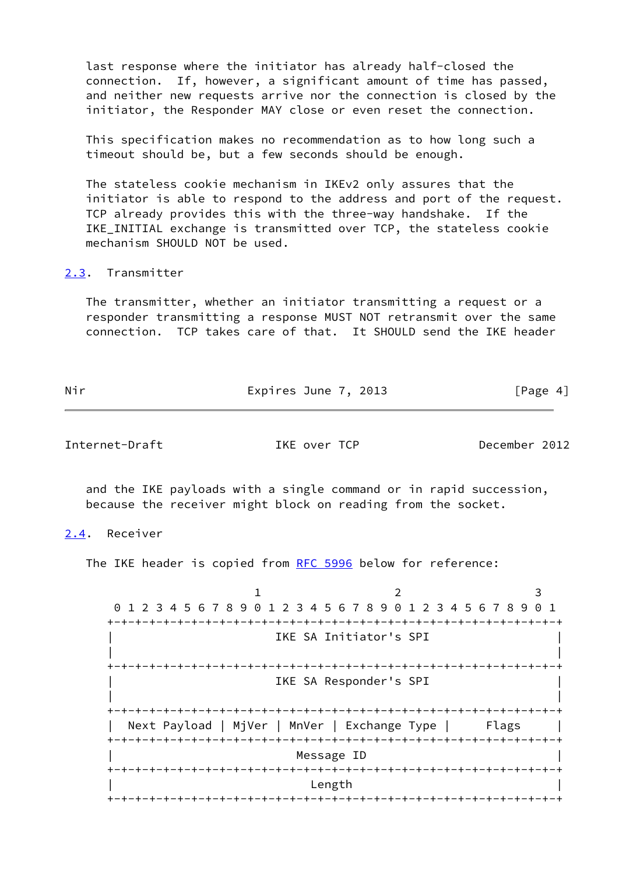last response where the initiator has already half-closed the connection. If, however, a significant amount of time has passed, and neither new requests arrive nor the connection is closed by the initiator, the Responder MAY close or even reset the connection.

 This specification makes no recommendation as to how long such a timeout should be, but a few seconds should be enough.

 The stateless cookie mechanism in IKEv2 only assures that the initiator is able to respond to the address and port of the request. TCP already provides this with the three-way handshake. If the IKE INITIAL exchange is transmitted over TCP, the stateless cookie mechanism SHOULD NOT be used.

# <span id="page-4-0"></span>[2.3](#page-4-0). Transmitter

 The transmitter, whether an initiator transmitting a request or a responder transmitting a response MUST NOT retransmit over the same connection. TCP takes care of that. It SHOULD send the IKE header

| Nir | Expires June 7, 2013 | [Page 4] |
|-----|----------------------|----------|
|     |                      |          |

Internet-Draft IKE over TCP December 2012

 and the IKE payloads with a single command or in rapid succession, because the receiver might block on reading from the socket.

<span id="page-4-1"></span>[2.4](#page-4-1). Receiver

The IKE header is copied from [RFC 5996](https://datatracker.ietf.org/doc/pdf/rfc5996) below for reference:

1 2 3 0 1 2 3 4 5 6 7 8 9 0 1 2 3 4 5 6 7 8 9 0 1 2 3 4 5 6 7 8 9 0 1 +-+-+-+-+-+-+-+-+-+-+-+-+-+-+-+-+-+-+-+-+-+-+-+-+-+-+-+-+-+-+-+-+ IKE SA Initiator's SPI | | +-+-+-+-+-+-+-+-+-+-+-+-+-+-+-+-+-+-+-+-+-+-+-+-+-+-+-+-+-+-+-+-+ IKE SA Responder's SPI | | +-+-+-+-+-+-+-+-+-+-+-+-+-+-+-+-+-+-+-+-+-+-+-+-+-+-+-+-+-+-+-+-+ Next Payload | MjVer | MnVer | Exchange Type | Flags +-+-+-+-+-+-+-+-+-+-+-+-+-+-+-+-+-+-+-+-+-+-+-+-+-+-+-+-+-+-+-+-+ Message ID +-+-+-+-+-+-+-+-+-+-+-+-+-+-+-+-+-+-+-+-+-+-+-+-+-+-+-+-+-+-+-+-+ | Length | +-+-+-+-+-+-+-+-+-+-+-+-+-+-+-+-+-+-+-+-+-+-+-+-+-+-+-+-+-+-+-+-+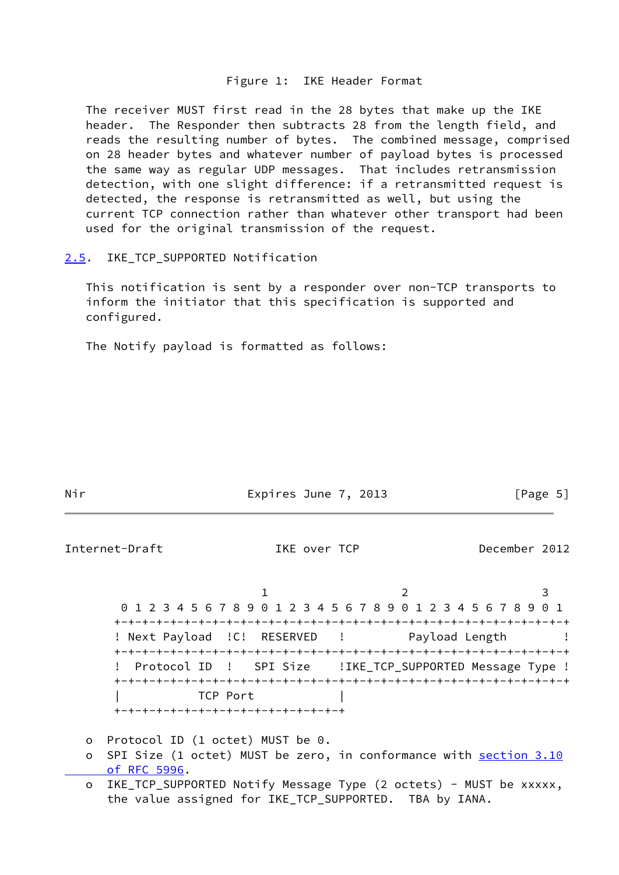### Figure 1: IKE Header Format

 The receiver MUST first read in the 28 bytes that make up the IKE header. The Responder then subtracts 28 from the length field, and reads the resulting number of bytes. The combined message, comprised on 28 header bytes and whatever number of payload bytes is processed the same way as regular UDP messages. That includes retransmission detection, with one slight difference: if a retransmitted request is detected, the response is retransmitted as well, but using the current TCP connection rather than whatever other transport had been used for the original transmission of the request.

<span id="page-5-0"></span>[2.5](#page-5-0). IKE\_TCP\_SUPPORTED Notification

 This notification is sent by a responder over non-TCP transports to inform the initiator that this specification is supported and configured.

The Notify payload is formatted as follows:

| Nir                                                             |                                                           | Expires June 7, 2013 |  |               | [Page 5] |
|-----------------------------------------------------------------|-----------------------------------------------------------|----------------------|--|---------------|----------|
| Internet-Draft                                                  |                                                           | IKE over TCP         |  | December 2012 |          |
|                                                                 |                                                           |                      |  |               |          |
| 0 1 2 3 4 5 6 7 8 9 0 1 2 3 4 5 6 7 8 9 0 1 2 3 4 5 6 7 8 9 0 1 |                                                           |                      |  |               |          |
|                                                                 |                                                           |                      |  |               |          |
| ! Next Payload ! C! RESERVED ! Payload Length                   |                                                           |                      |  |               |          |
|                                                                 |                                                           |                      |  |               |          |
|                                                                 | Protocol ID ! SPI Size ! IKE_TCP_SUPPORTED Message Type ! |                      |  |               |          |
|                                                                 |                                                           |                      |  |               |          |
|                                                                 | TCP Port                                                  |                      |  |               |          |
| +-+-+-+-+-+-+-+-+-+-+-+-+-+-+-+-+                               |                                                           |                      |  |               |          |
| o Protocol ID (1 octot) MIST be 0                               |                                                           |                      |  |               |          |

- o Protocol ID (1 octet) MUST be 0.
- o SPI Size (1 octet) MUST be zero, in conformance with [section](https://datatracker.ietf.org/doc/pdf/rfc5996#section-3.10) 3.10  [of RFC 5996](https://datatracker.ietf.org/doc/pdf/rfc5996#section-3.10).
- o IKE\_TCP\_SUPPORTED Notify Message Type (2 octets) MUST be xxxxx, the value assigned for IKE\_TCP\_SUPPORTED. TBA by IANA.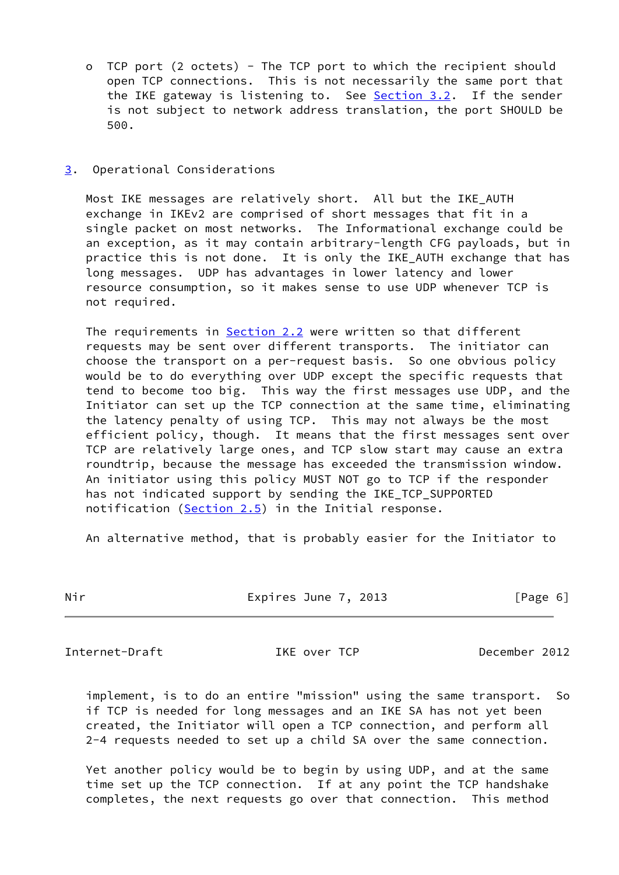o TCP port (2 octets) - The TCP port to which the recipient should open TCP connections. This is not necessarily the same port that the IKE gateway is listening to. See [Section 3.2](#page-7-0). If the sender is not subject to network address translation, the port SHOULD be 500.

## <span id="page-6-0"></span>[3](#page-6-0). Operational Considerations

 Most IKE messages are relatively short. All but the IKE\_AUTH exchange in IKEv2 are comprised of short messages that fit in a single packet on most networks. The Informational exchange could be an exception, as it may contain arbitrary-length CFG payloads, but in practice this is not done. It is only the IKE\_AUTH exchange that has long messages. UDP has advantages in lower latency and lower resource consumption, so it makes sense to use UDP whenever TCP is not required.

The requirements in [Section 2.2](#page-3-0) were written so that different requests may be sent over different transports. The initiator can choose the transport on a per-request basis. So one obvious policy would be to do everything over UDP except the specific requests that tend to become too big. This way the first messages use UDP, and the Initiator can set up the TCP connection at the same time, eliminating the latency penalty of using TCP. This may not always be the most efficient policy, though. It means that the first messages sent over TCP are relatively large ones, and TCP slow start may cause an extra roundtrip, because the message has exceeded the transmission window. An initiator using this policy MUST NOT go to TCP if the responder has not indicated support by sending the IKE\_TCP\_SUPPORTED notification  $(Section 2.5)$  $(Section 2.5)$  in the Initial response.

An alternative method, that is probably easier for the Initiator to

|  | . . |
|--|-----|
|  |     |
|  |     |

Expires June 7, 2013 [Page 6]

Internet-Draft IKE over TCP December 2012

 implement, is to do an entire "mission" using the same transport. So if TCP is needed for long messages and an IKE SA has not yet been created, the Initiator will open a TCP connection, and perform all 2-4 requests needed to set up a child SA over the same connection.

 Yet another policy would be to begin by using UDP, and at the same time set up the TCP connection. If at any point the TCP handshake completes, the next requests go over that connection. This method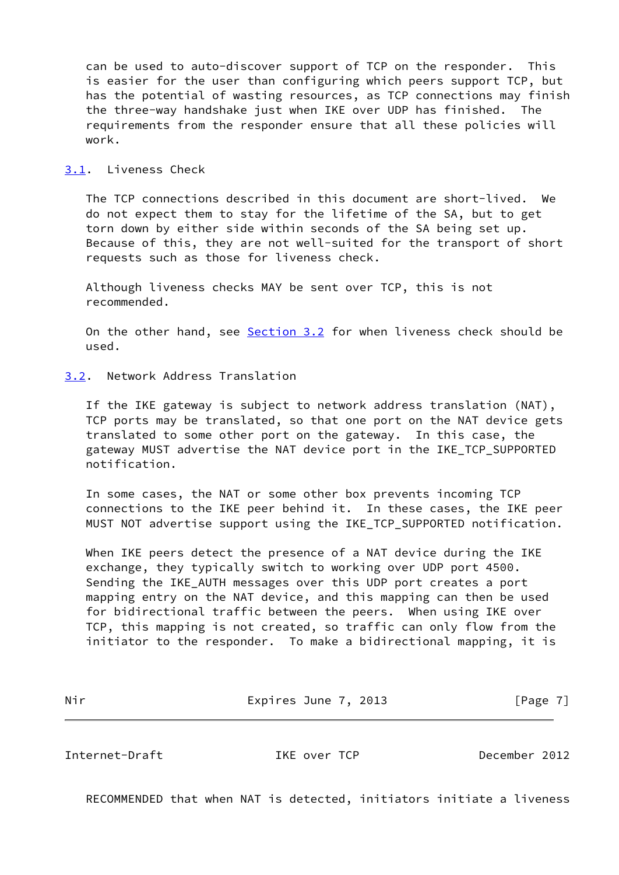can be used to auto-discover support of TCP on the responder. This is easier for the user than configuring which peers support TCP, but has the potential of wasting resources, as TCP connections may finish the three-way handshake just when IKE over UDP has finished. The requirements from the responder ensure that all these policies will work.

## <span id="page-7-1"></span>[3.1](#page-7-1). Liveness Check

 The TCP connections described in this document are short-lived. We do not expect them to stay for the lifetime of the SA, but to get torn down by either side within seconds of the SA being set up. Because of this, they are not well-suited for the transport of short requests such as those for liveness check.

 Although liveness checks MAY be sent over TCP, this is not recommended.

 On the other hand, see [Section 3.2](#page-7-0) for when liveness check should be used.

### <span id="page-7-0"></span>[3.2](#page-7-0). Network Address Translation

 If the IKE gateway is subject to network address translation (NAT), TCP ports may be translated, so that one port on the NAT device gets translated to some other port on the gateway. In this case, the gateway MUST advertise the NAT device port in the IKE\_TCP\_SUPPORTED notification.

 In some cases, the NAT or some other box prevents incoming TCP connections to the IKE peer behind it. In these cases, the IKE peer MUST NOT advertise support using the IKE\_TCP\_SUPPORTED notification.

 When IKE peers detect the presence of a NAT device during the IKE exchange, they typically switch to working over UDP port 4500. Sending the IKE\_AUTH messages over this UDP port creates a port mapping entry on the NAT device, and this mapping can then be used for bidirectional traffic between the peers. When using IKE over TCP, this mapping is not created, so traffic can only flow from the initiator to the responder. To make a bidirectional mapping, it is

| Nir | Expires June 7, 2013 | [Page 7] |
|-----|----------------------|----------|
|     |                      |          |

Internet-Draft IKE over TCP December 2012

RECOMMENDED that when NAT is detected, initiators initiate a liveness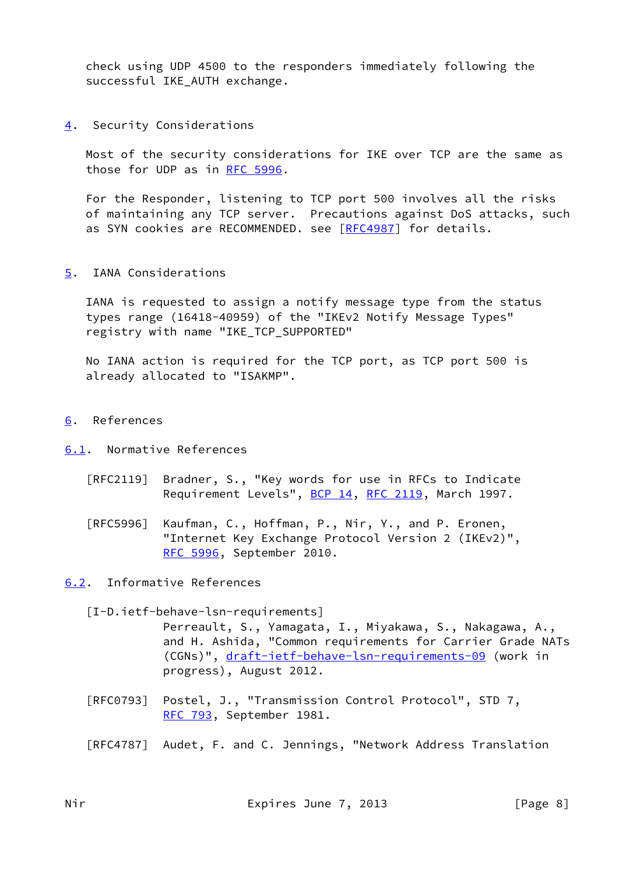check using UDP 4500 to the responders immediately following the successful IKE\_AUTH exchange.

<span id="page-8-1"></span>[4](#page-8-1). Security Considerations

 Most of the security considerations for IKE over TCP are the same as those for UDP as in [RFC 5996.](https://datatracker.ietf.org/doc/pdf/rfc5996)

 For the Responder, listening to TCP port 500 involves all the risks of maintaining any TCP server. Precautions against DoS attacks, such as SYN cookies are RECOMMENDED. see [\[RFC4987](https://datatracker.ietf.org/doc/pdf/rfc4987)] for details.

<span id="page-8-2"></span>[5](#page-8-2). IANA Considerations

 IANA is requested to assign a notify message type from the status types range (16418-40959) of the "IKEv2 Notify Message Types" registry with name "IKE\_TCP\_SUPPORTED"

 No IANA action is required for the TCP port, as TCP port 500 is already allocated to "ISAKMP".

<span id="page-8-3"></span>[6](#page-8-3). References

<span id="page-8-4"></span>[6.1](#page-8-4). Normative References

- [RFC2119] Bradner, S., "Key words for use in RFCs to Indicate Requirement Levels", [BCP 14](https://datatracker.ietf.org/doc/pdf/bcp14), [RFC 2119](https://datatracker.ietf.org/doc/pdf/rfc2119), March 1997.
- [RFC5996] Kaufman, C., Hoffman, P., Nir, Y., and P. Eronen, "Internet Key Exchange Protocol Version 2 (IKEv2)", [RFC 5996,](https://datatracker.ietf.org/doc/pdf/rfc5996) September 2010.

<span id="page-8-5"></span>[6.2](#page-8-5). Informative References

<span id="page-8-0"></span>[I-D.ietf-behave-lsn-requirements]

 Perreault, S., Yamagata, I., Miyakawa, S., Nakagawa, A., and H. Ashida, "Common requirements for Carrier Grade NATs (CGNs)", [draft-ietf-behave-lsn-requirements-09](https://datatracker.ietf.org/doc/pdf/draft-ietf-behave-lsn-requirements-09) (work in progress), August 2012.

- [RFC0793] Postel, J., "Transmission Control Protocol", STD 7, [RFC 793](https://datatracker.ietf.org/doc/pdf/rfc793), September 1981.
- [RFC4787] Audet, F. and C. Jennings, "Network Address Translation